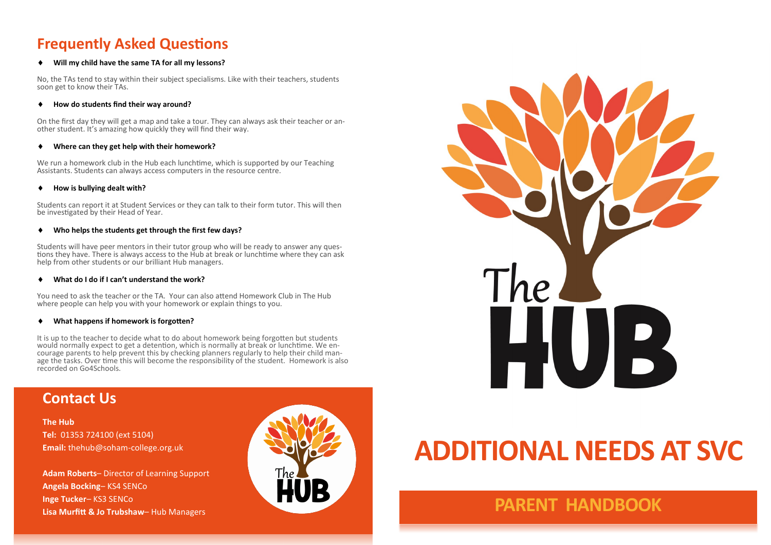# **Frequently Asked Questions**

### **Will my child have the same TA for all my lessons?**

No, the TAs tend to stay within their subject specialisms. Like with their teachers, students soon get to know their TAs.

### **How do students find their way around?**

On the first day they will get a map and take a tour. They can always ask their teacher or another student. It's amazing how quickly they will find their way.

### **Where can they get help with their homework?**

We run a homework club in the Hub each lunchtime, which is supported by our Teaching Assistants. Students can always access computers in the resource centre.

### **How is bullying dealt with?**

Students can report it at Student Services or they can talk to their form tutor. This will then be investigated by their Head of Year.

### **Who helps the students get through the first few days?**

Students will have peer mentors in their tutor group who will be ready to answer any questions they have. There is always access to the Hub at break or lunchtime where they can ask help from other students or our brilliant Hub managers.

### **What do I do if I can't understand the work?**

You need to ask the teacher or the TA. Your can also attend Homework Club in The Hub where people can help you with your homework or explain things to you.

### **What happens if homework is forgotten?**

It is up to the teacher to decide what to do about homework being forgotten but students would normally expect to get a detention, which is normally at break or lunchtime. We encourage parents to help prevent this by checking planners regularly to help their child manage the tasks. Over time this will become the responsibility of the student. Homework is also recorded on Go4Schools.

# **Contact Us**

**The Hub Tel:** 01353 724100 (ext 5104) **Email:** thehub@soham-college.org.uk

**Adam Roberts**– Director of Learning Support **Angela Bocking**– KS4 SENCo **Inge Tucker**– KS3 SENCo **Lisa Murfitt & Jo Trubshaw**– Hub Managers



# HUB

# **ADDITIONAL NEEDS AT SVC**

# **PARENT HANDBOOK**